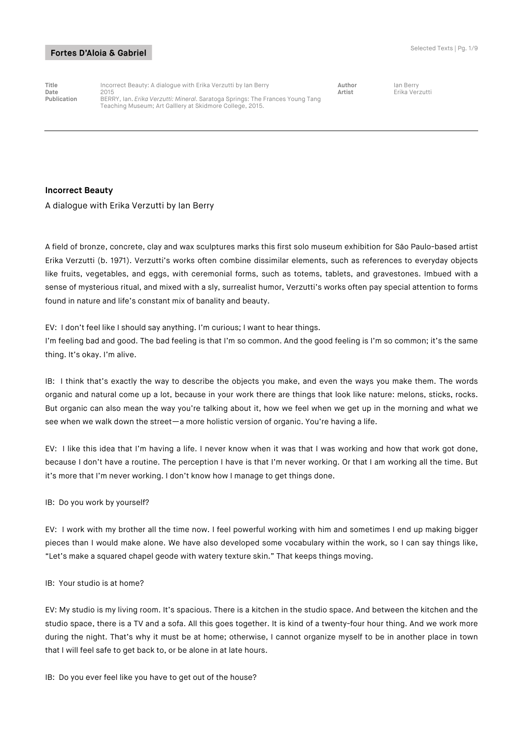**Title** Incorrect Beauty: A dialogue with Erika Verzutti by Ian Berry **Author** Ian Berry **Date** 2015 **Artist** Erika Verzutti **Publication** BERRY, Ian. *Erika Verzutti: Mineral.* Saratoga Springs: The Frances Young Tang Teaching Museum; Art Galllery at Skidmore College, 2015.

### **Incorrect Beauty**

A dialogue with Erika Verzutti by Ian Berry

A field of bronze, concrete, clay and wax sculptures marks this first solo museum exhibition for São Paulo-based artist Erika Verzutti (b. 1971). Verzutti's works often combine dissimilar elements, such as references to everyday objects like fruits, vegetables, and eggs, with ceremonial forms, such as totems, tablets, and gravestones. Imbued with a sense of mysterious ritual, and mixed with a sly, surrealist humor, Verzutti's works often pay special attention to forms found in nature and life's constant mix of banality and beauty.

EV: I don't feel like I should say anything. I'm curious; I want to hear things.

I'm feeling bad and good. The bad feeling is that I'm so common. And the good feeling is I'm so common; it's the same thing. It's okay. I'm alive.

IB: I think that's exactly the way to describe the objects you make, and even the ways you make them. The words organic and natural come up a lot, because in your work there are things that look like nature: melons, sticks, rocks. But organic can also mean the way you're talking about it, how we feel when we get up in the morning and what we see when we walk down the street—a more holistic version of organic. You're having a life.

EV: I like this idea that I'm having a life. I never know when it was that I was working and how that work got done, because I don't have a routine. The perception I have is that I'm never working. Or that I am working all the time. But it's more that I'm never working. I don't know how I manage to get things done.

#### IB: Do you work by yourself?

EV: I work with my brother all the time now. I feel powerful working with him and sometimes I end up making bigger pieces than I would make alone. We have also developed some vocabulary within the work, so I can say things like, "Let's make a squared chapel geode with watery texture skin." That keeps things moving.

### IB: Your studio is at home?

EV: My studio is my living room. It's spacious. There is a kitchen in the studio space. And between the kitchen and the studio space, there is a TV and a sofa. All this goes together. It is kind of a twenty-four hour thing. And we work more during the night. That's why it must be at home; otherwise, I cannot organize myself to be in another place in town that I will feel safe to get back to, or be alone in at late hours.

IB: Do you ever feel like you have to get out of the house?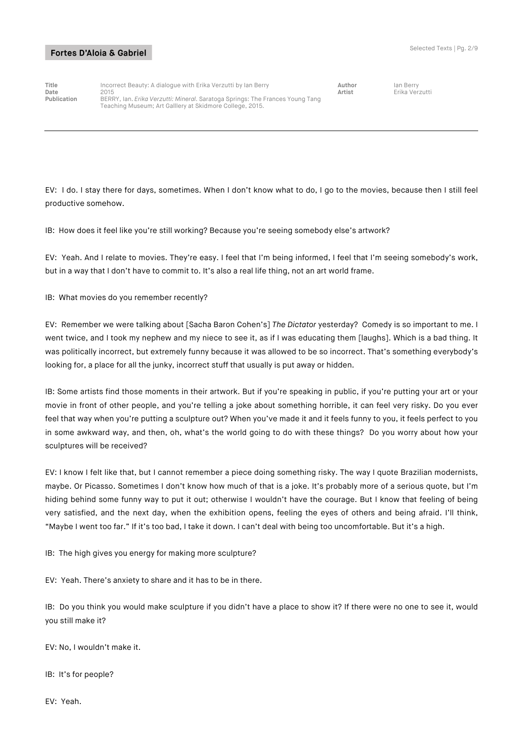**Title** Incorrect Beauty: A dialogue with Erika Verzutti by Ian Berry **Author** Ian Berry **Date** 2015 **Artist** Erika Verzutti **Publication** BERRY, Ian. *Erika Verzutti: Mineral.* Saratoga Springs: The Frances Young Tang Teaching Museum; Art Galllery at Skidmore College, 2015.

EV: I do. I stay there for days, sometimes. When I don't know what to do, I go to the movies, because then I still feel productive somehow.

IB: How does it feel like you're still working? Because you're seeing somebody else's artwork?

EV: Yeah. And I relate to movies. They're easy. I feel that I'm being informed, I feel that I'm seeing somebody's work, but in a way that I don't have to commit to. It's also a real life thing, not an art world frame.

IB: What movies do you remember recently?

EV: Remember we were talking about [Sacha Baron Cohen's] *The Dictator* yesterday? Comedy is so important to me. I went twice, and I took my nephew and my niece to see it, as if I was educating them [laughs]. Which is a bad thing. It was politically incorrect, but extremely funny because it was allowed to be so incorrect. That's something everybody's looking for, a place for all the junky, incorrect stuff that usually is put away or hidden.

IB: Some artists find those moments in their artwork. But if you're speaking in public, if you're putting your art or your movie in front of other people, and you're telling a joke about something horrible, it can feel very risky. Do you ever feel that way when you're putting a sculpture out? When you've made it and it feels funny to you, it feels perfect to you in some awkward way, and then, oh, what's the world going to do with these things? Do you worry about how your sculptures will be received?

EV: I know I felt like that, but I cannot remember a piece doing something risky. The way I quote Brazilian modernists, maybe. Or Picasso. Sometimes I don't know how much of that is a joke. It's probably more of a serious quote, but I'm hiding behind some funny way to put it out; otherwise I wouldn't have the courage. But I know that feeling of being very satisfied, and the next day, when the exhibition opens, feeling the eyes of others and being afraid. I'll think, "Maybe I went too far." If it's too bad, I take it down. I can't deal with being too uncomfortable. But it's a high.

IB: The high gives you energy for making more sculpture?

EV: Yeah. There's anxiety to share and it has to be in there.

IB: Do you think you would make sculpture if you didn't have a place to show it? If there were no one to see it, would you still make it?

EV: No, I wouldn't make it.

IB: It's for people?

EV: Yeah.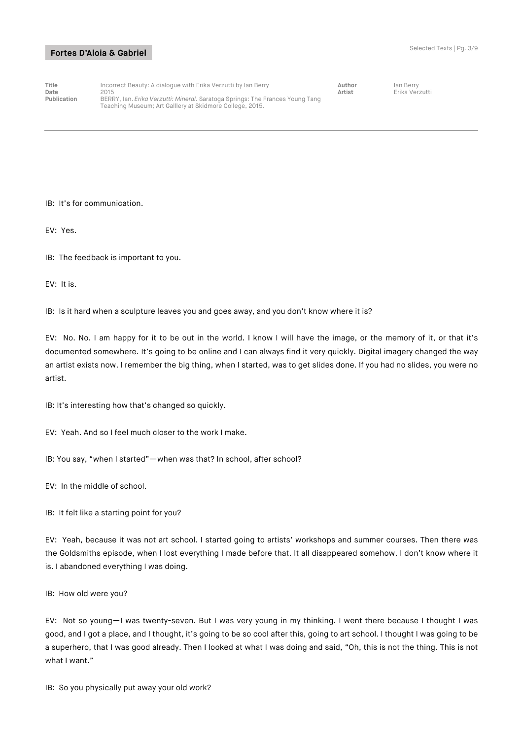Title Incorrect Beauty: A dialogue with Erika Verzutti by Ian Berry **Author Author I**an Berry **Ian Berry Incorrect Beauty: A dialogue with Erika Verzutti by Ian Berry Incorrect Beauty: A dialogue with Erika Verzutti Beauty Date** 2015 **Artist** Erika Verzutti **Publication** BERRY, Ian. *Erika Verzutti: Mineral.* Saratoga Springs: The Frances Young Tang Teaching Museum; Art Galllery at Skidmore College, 2015.

IB: It's for communication.

EV: Yes.

IB: The feedback is important to you.

EV: It is.

IB: Is it hard when a sculpture leaves you and goes away, and you don't know where it is?

EV: No. No. I am happy for it to be out in the world. I know I will have the image, or the memory of it, or that it's documented somewhere. It's going to be online and I can always find it very quickly. Digital imagery changed the way an artist exists now. I remember the big thing, when I started, was to get slides done. If you had no slides, you were no artist.

IB: It's interesting how that's changed so quickly.

EV: Yeah. And so I feel much closer to the work I make.

IB: You say, "when I started"—when was that? In school, after school?

EV: In the middle of school.

IB: It felt like a starting point for you?

EV: Yeah, because it was not art school. I started going to artists' workshops and summer courses. Then there was the Goldsmiths episode, when I lost everything I made before that. It all disappeared somehow. I don't know where it is. I abandoned everything I was doing.

IB: How old were you?

EV: Not so young—I was twenty-seven. But I was very young in my thinking. I went there because I thought I was good, and I got a place, and I thought, it's going to be so cool after this, going to art school. I thought I was going to be a superhero, that I was good already. Then I looked at what I was doing and said, "Oh, this is not the thing. This is not what I want."

IB: So you physically put away your old work?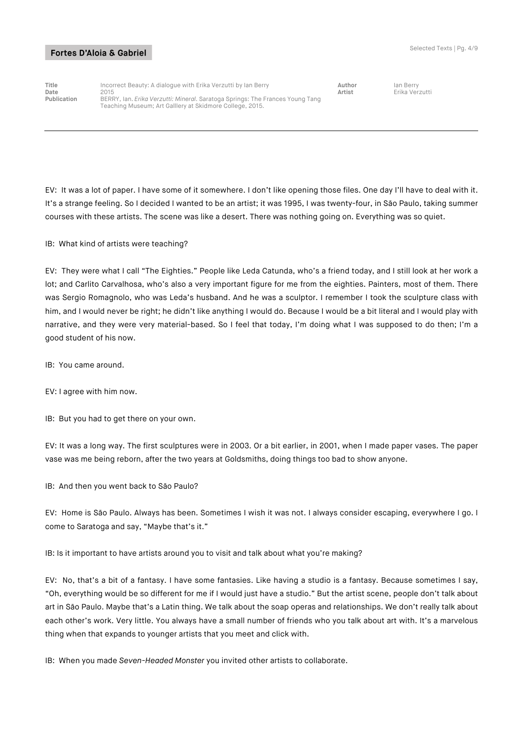**Title** Incorrect Beauty: A dialogue with Erika Verzutti by Ian Berry **Author** Ian Berry **Date** 2015 **Artist** Erika Verzutti **Publication** BERRY, Ian. *Erika Verzutti: Mineral.* Saratoga Springs: The Frances Young Tang Teaching Museum; Art Galllery at Skidmore College, 2015.

EV: It was a lot of paper. I have some of it somewhere. I don't like opening those files. One day I'll have to deal with it. It's a strange feeling. So I decided I wanted to be an artist; it was 1995, I was twenty-four, in São Paulo, taking summer courses with these artists. The scene was like a desert. There was nothing going on. Everything was so quiet.

IB: What kind of artists were teaching?

EV: They were what I call "The Eighties." People like Leda Catunda, who's a friend today, and I still look at her work a lot; and Carlito Carvalhosa, who's also a very important figure for me from the eighties. Painters, most of them. There was Sergio Romagnolo, who was Leda's husband. And he was a sculptor. I remember I took the sculpture class with him, and I would never be right; he didn't like anything I would do. Because I would be a bit literal and I would play with narrative, and they were very material-based. So I feel that today, I'm doing what I was supposed to do then; I'm a good student of his now.

IB: You came around.

EV: I agree with him now.

IB: But you had to get there on your own.

EV: It was a long way. The first sculptures were in 2003. Or a bit earlier, in 2001, when I made paper vases. The paper vase was me being reborn, after the two years at Goldsmiths, doing things too bad to show anyone.

IB: And then you went back to São Paulo?

EV: Home is São Paulo. Always has been. Sometimes I wish it was not. I always consider escaping, everywhere I go. I come to Saratoga and say, "Maybe that's it."

IB: Is it important to have artists around you to visit and talk about what you're making?

EV: No, that's a bit of a fantasy. I have some fantasies. Like having a studio is a fantasy. Because sometimes I say, "Oh, everything would be so different for me if I would just have a studio." But the artist scene, people don't talk about art in São Paulo. Maybe that's a Latin thing. We talk about the soap operas and relationships. We don't really talk about each other's work. Very little. You always have a small number of friends who you talk about art with. It's a marvelous thing when that expands to younger artists that you meet and click with.

IB: When you made *Seven-Headed Monster* you invited other artists to collaborate.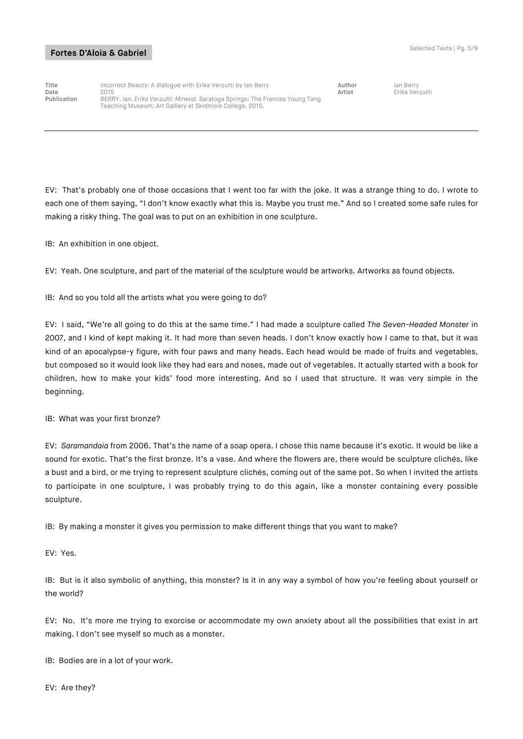**Title** Incorrect Beauty: A dialogue with Erika Verzutti by Ian Berry **Author** Ian Berry **Date** 2015 **Artist** Erika Verzutti **Publication** BERRY, Ian. *Erika Verzutti: Mineral.* Saratoga Springs: The Frances Young Tang Teaching Museum; Art Galllery at Skidmore College, 2015.

EV: That's probably one of those occasions that I went too far with the joke. It was a strange thing to do. I wrote to each one of them saying, "I don't know exactly what this is. Maybe you trust me." And so I created some safe rules for making a risky thing. The goal was to put on an exhibition in one sculpture.

IB: An exhibition in one object.

EV: Yeah. One sculpture, and part of the material of the sculpture would be artworks. Artworks as found objects.

IB: And so you told all the artists what you were going to do?

EV: I said, "We're all going to do this at the same time." I had made a sculpture called *The Seven-Headed Monster* in 2007, and I kind of kept making it. It had more than seven heads. I don't know exactly how I came to that, but it was kind of an apocalypse-y figure, with four paws and many heads. Each head would be made of fruits and vegetables, but composed so it would look like they had ears and noses, made out of vegetables. It actually started with a book for children, how to make your kids' food more interesting. And so I used that structure. It was very simple in the beginning.

IB: What was your first bronze?

EV: *Saramandaia* from 2006. That's the name of a soap opera. I chose this name because it's exotic. It would be like a sound for exotic. That's the first bronze. It's a vase. And where the flowers are, there would be sculpture clichés, like a bust and a bird, or me trying to represent sculpture clichés, coming out of the same pot. So when I invited the artists to participate in one sculpture, I was probably trying to do this again, like a monster containing every possible sculpture.

IB: By making a monster it gives you permission to make different things that you want to make?

EV: Yes.

IB: But is it also symbolic of anything, this monster? Is it in any way a symbol of how you're feeling about yourself or the world?

EV: No. It's more me trying to exorcise or accommodate my own anxiety about all the possibilities that exist in art making. I don't see myself so much as a monster.

IB: Bodies are in a lot of your work.

EV: Are they?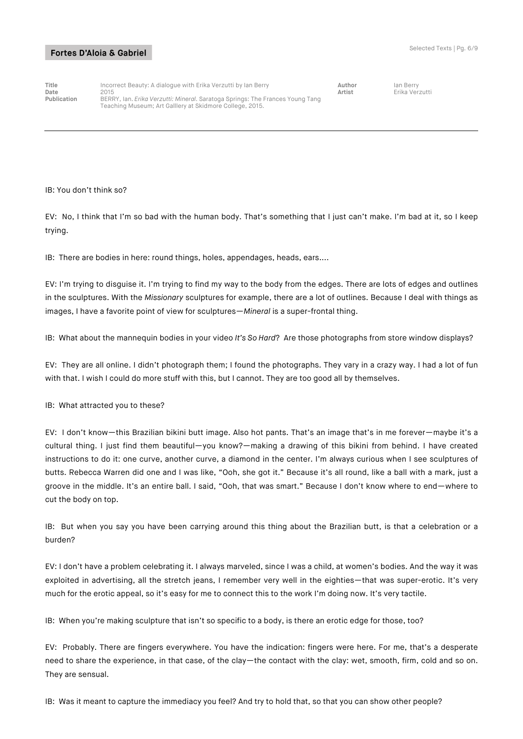**Title** Incorrect Beauty: A dialogue with Erika Verzutti by Ian Berry **Author** Ian Berry **Date** 2015 **Artist** Erika Verzutti **Publication** BERRY, Ian. *Erika Verzutti: Mineral.* Saratoga Springs: The Frances Young Tang Teaching Museum; Art Galllery at Skidmore College, 2015.

IB: You don't think so?

EV: No, I think that I'm so bad with the human body. That's something that I just can't make. I'm bad at it, so I keep trying.

IB: There are bodies in here: round things, holes, appendages, heads, ears....

EV: I'm trying to disguise it. I'm trying to find my way to the body from the edges. There are lots of edges and outlines in the sculptures. With the *Missionary* sculptures for example, there are a lot of outlines. Because I deal with things as images, I have a favorite point of view for sculptures—*Mineral* is a super-frontal thing.

IB: What about the mannequin bodies in your video *It's So Hard*? Are those photographs from store window displays?

EV: They are all online. I didn't photograph them; I found the photographs. They vary in a crazy way. I had a lot of fun with that. I wish I could do more stuff with this, but I cannot. They are too good all by themselves.

IB: What attracted you to these?

EV: I don't know—this Brazilian bikini butt image. Also hot pants. That's an image that's in me forever—maybe it's a cultural thing. I just find them beautiful—you know?—making a drawing of this bikini from behind. I have created instructions to do it: one curve, another curve, a diamond in the center. I'm always curious when I see sculptures of butts. Rebecca Warren did one and I was like, "Ooh, she got it." Because it's all round, like a ball with a mark, just a groove in the middle. It's an entire ball. I said, "Ooh, that was smart." Because I don't know where to end—where to cut the body on top.

IB: But when you say you have been carrying around this thing about the Brazilian butt, is that a celebration or a burden?

EV: I don't have a problem celebrating it. I always marveled, since I was a child, at women's bodies. And the way it was exploited in advertising, all the stretch jeans, I remember very well in the eighties—that was super-erotic. It's very much for the erotic appeal, so it's easy for me to connect this to the work I'm doing now. It's very tactile.

IB: When you're making sculpture that isn't so specific to a body, is there an erotic edge for those, too?

EV: Probably. There are fingers everywhere. You have the indication: fingers were here. For me, that's a desperate need to share the experience, in that case, of the clay—the contact with the clay: wet, smooth, firm, cold and so on. They are sensual.

IB: Was it meant to capture the immediacy you feel? And try to hold that, so that you can show other people?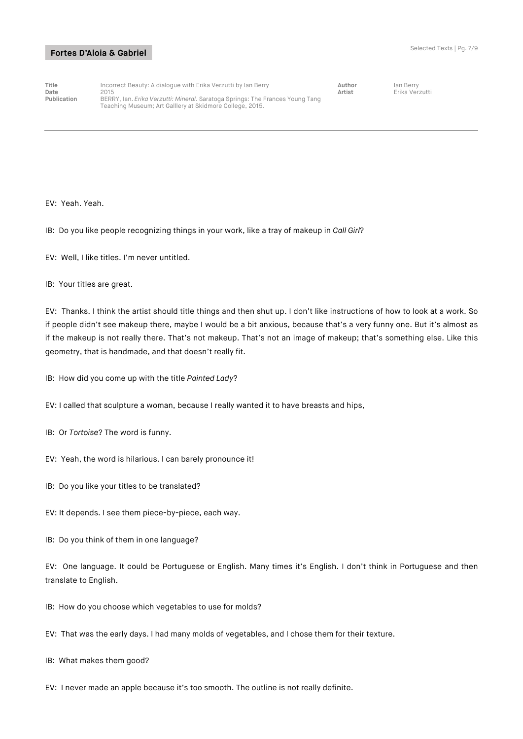**Title** Incorrect Beauty: A dialogue with Erika Verzutti by Ian Berry **Author** Ian Berry **Date** 2015 **Artist** Erika Verzutti **Publication** BERRY, Ian. *Erika Verzutti: Mineral.* Saratoga Springs: The Frances Young Tang Teaching Museum; Art Galllery at Skidmore College, 2015.

EV: Yeah. Yeah.

- IB: Do you like people recognizing things in your work, like a tray of makeup in *Call Girl*?
- EV: Well, I like titles. I'm never untitled.

IB: Your titles are great.

EV: Thanks. I think the artist should title things and then shut up. I don't like instructions of how to look at a work. So if people didn't see makeup there, maybe I would be a bit anxious, because that's a very funny one. But it's almost as if the makeup is not really there. That's not makeup. That's not an image of makeup; that's something else. Like this geometry, that is handmade, and that doesn't really fit.

IB: How did you come up with the title *Painted Lady*?

EV: I called that sculpture a woman, because I really wanted it to have breasts and hips,

IB: Or *Tortoise*? The word is funny.

EV: Yeah, the word is hilarious. I can barely pronounce it!

IB: Do you like your titles to be translated?

- EV: It depends. I see them piece-by-piece, each way.
- IB: Do you think of them in one language?

EV: One language. It could be Portuguese or English. Many times it's English. I don't think in Portuguese and then translate to English.

IB: How do you choose which vegetables to use for molds?

EV: That was the early days. I had many molds of vegetables, and I chose them for their texture.

IB: What makes them good?

EV: I never made an apple because it's too smooth. The outline is not really definite.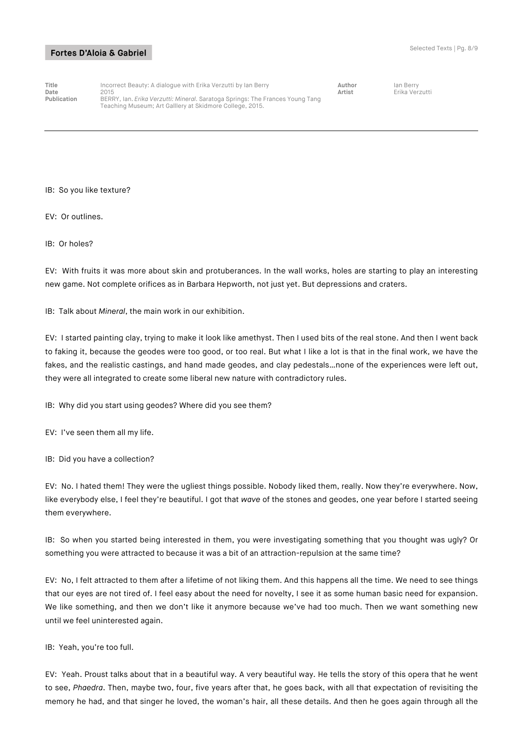**Title** Incorrect Beauty: A dialogue with Erika Verzutti by Ian Berry **Author** Ian Berry **Date** 2015 **Artist** Erika Verzutti **Publication** BERRY, Ian. *Erika Verzutti: Mineral.* Saratoga Springs: The Frances Young Tang Teaching Museum; Art Galllery at Skidmore College, 2015.

IB: So you like texture?

EV: Or outlines.

IB: Or holes?

EV: With fruits it was more about skin and protuberances. In the wall works, holes are starting to play an interesting new game. Not complete orifices as in Barbara Hepworth, not just yet. But depressions and craters.

IB: Talk about *Mineral*, the main work in our exhibition.

EV: I started painting clay, trying to make it look like amethyst. Then I used bits of the real stone. And then I went back to faking it, because the geodes were too good, or too real. But what I like a lot is that in the final work, we have the fakes, and the realistic castings, and hand made geodes, and clay pedestals…none of the experiences were left out, they were all integrated to create some liberal new nature with contradictory rules.

IB: Why did you start using geodes? Where did you see them?

EV: I've seen them all my life.

IB: Did you have a collection?

EV: No. I hated them! They were the ugliest things possible. Nobody liked them, really. Now they're everywhere. Now, like everybody else, I feel they're beautiful. I got that *wave* of the stones and geodes, one year before I started seeing them everywhere.

IB: So when you started being interested in them, you were investigating something that you thought was ugly? Or something you were attracted to because it was a bit of an attraction-repulsion at the same time?

EV: No, I felt attracted to them after a lifetime of not liking them. And this happens all the time. We need to see things that our eyes are not tired of. I feel easy about the need for novelty, I see it as some human basic need for expansion. We like something, and then we don't like it anymore because we've had too much. Then we want something new until we feel uninterested again.

IB: Yeah, you're too full.

EV: Yeah. Proust talks about that in a beautiful way. A very beautiful way. He tells the story of this opera that he went to see, *Phaedra*. Then, maybe two, four, five years after that, he goes back, with all that expectation of revisiting the memory he had, and that singer he loved, the woman's hair, all these details. And then he goes again through all the